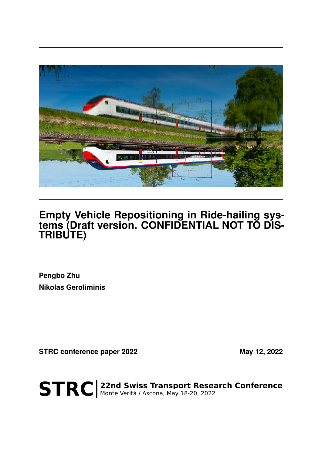

## **Empty Vehicle Repositioning in Ride-hailing systems (Draft version. CONFIDENTIAL NOT TO DIS-TRIBUTE)**

**Pengbo Zhu Nikolas Geroliminis**

**STRC conference paper 2022** May 12, 2022

STRC | 22nd Swiss Transport Research Conference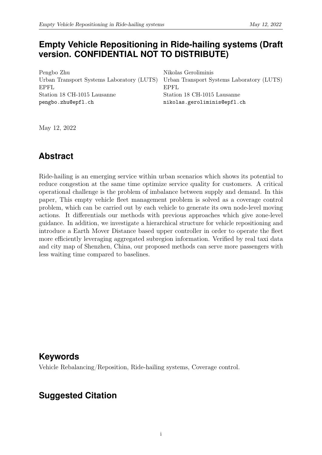#### **Empty Vehicle Repositioning in Ride-hailing systems (Draft version. CONFIDENTIAL NOT TO DISTRIBUTE)**

Pengbo Zhu Urban Transport Systems Laboratory (LUTS) EPFL Station 18 CH-1015 Lausanne pengbo.zhu@epfl.ch

Nikolas Geroliminis Urban Transport Systems Laboratory (LUTS) EPFL Station 18 CH-1015 Lausanne nikolas.geroliminis@epfl.ch

May 12, 2022

### **Abstract**

Ride-hailing is an emerging service within urban scenarios which shows its potential to reduce congestion at the same time optimize service quality for customers. A critical operational challenge is the problem of imbalance between supply and demand. In this paper, This empty vehicle fleet management problem is solved as a coverage control problem, which can be carried out by each vehicle to generate its own node-level moving actions. It differentials our methods with previous approaches which give zone-level guidance. In addition, we investigate a hierarchical structure for vehicle repositioning and introduce a Earth Mover Distance based upper controller in order to operate the fleet more efficiently leveraging aggregated subregion information. Verified by real taxi data and city map of Shenzhen, China, our proposed methods can serve more passengers with less waiting time compared to baselines.

#### **Keywords**

Vehicle Rebalancing/Reposition, Ride-hailing systems, Coverage control.

#### **Suggested Citation**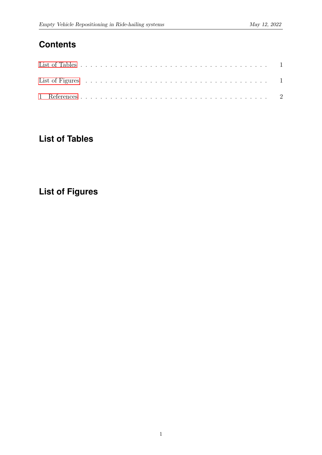### **Contents**

### <span id="page-2-0"></span>**List of Tables**

# <span id="page-2-1"></span>**List of Figures**